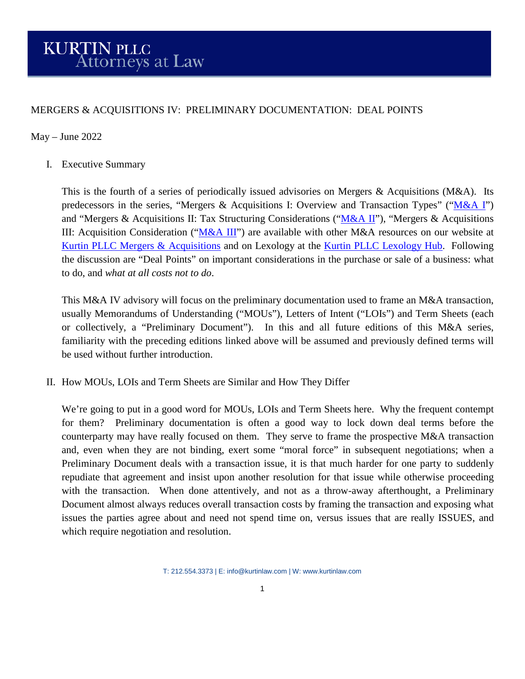## MERGERS & ACQUISITIONS IV: PRELIMINARY DOCUMENTATION: DEAL POINTS

## May – June 2022

I. Executive Summary

This is the fourth of a series of periodically issued advisories on Mergers & Acquisitions ( $M&A$ ). Its predecessors in the series, "Mergers & Acquisitions I: Overview and Transaction Types" (" $M&A$  I") and "Mergers & Acquisitions II: Tax Structuring Considerations (["M&A II"](https://kurtinlaw.com/wp-content/uploads/2022/05/Mergers-and-Acquisitions-II-05.2022.pdf)), "Mergers & Acquisitions III: Acquisition Consideration (["M&A III"](https://kurtinlaw.com/wp-content/uploads/2022/05/Mergers-and-Acquisitions-III-05.2022.pdf)) are available with other M&A resources on our website at [Kurtin PLLC Mergers & Acquisitions](https://kurtinlaw.com/practice-areas/mergers-acquisitions/) and on Lexology at the [Kurtin PLLC Lexology Hub.](https://www.lexology.com/contributors/kurtin-pllc) Following the discussion are "Deal Points" on important considerations in the purchase or sale of a business: what to do, and *what at all costs not to do*.

This M&A IV advisory will focus on the preliminary documentation used to frame an M&A transaction, usually Memorandums of Understanding ("MOUs"), Letters of Intent ("LOIs") and Term Sheets (each or collectively, a "Preliminary Document"). In this and all future editions of this M&A series, familiarity with the preceding editions linked above will be assumed and previously defined terms will be used without further introduction.

II. How MOUs, LOIs and Term Sheets are Similar and How They Differ

We're going to put in a good word for MOUs, LOIs and Term Sheets here. Why the frequent contempt for them? Preliminary documentation is often a good way to lock down deal terms before the counterparty may have really focused on them. They serve to frame the prospective M&A transaction and, even when they are not binding, exert some "moral force" in subsequent negotiations; when a Preliminary Document deals with a transaction issue, it is that much harder for one party to suddenly repudiate that agreement and insist upon another resolution for that issue while otherwise proceeding with the transaction. When done attentively, and not as a throw-away afterthought, a Preliminary Document almost always reduces overall transaction costs by framing the transaction and exposing what issues the parties agree about and need not spend time on, versus issues that are really ISSUES, and which require negotiation and resolution.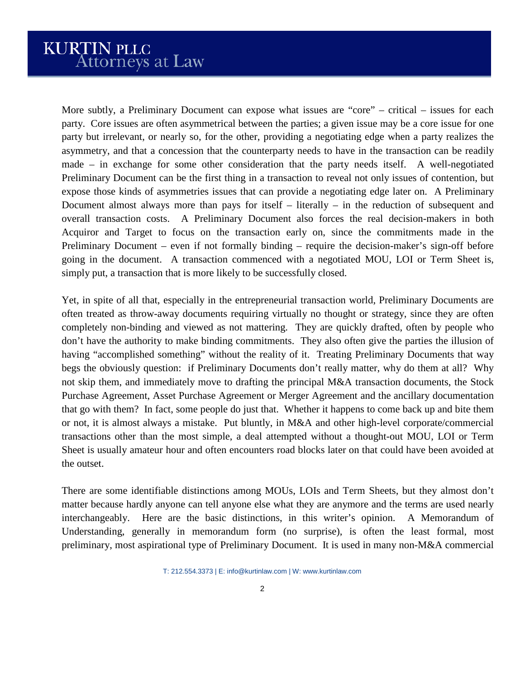More subtly, a Preliminary Document can expose what issues are "core" – critical – issues for each party. Core issues are often asymmetrical between the parties; a given issue may be a core issue for one party but irrelevant, or nearly so, for the other, providing a negotiating edge when a party realizes the asymmetry, and that a concession that the counterparty needs to have in the transaction can be readily made – in exchange for some other consideration that the party needs itself. A well-negotiated Preliminary Document can be the first thing in a transaction to reveal not only issues of contention, but expose those kinds of asymmetries issues that can provide a negotiating edge later on. A Preliminary Document almost always more than pays for itself – literally – in the reduction of subsequent and overall transaction costs. A Preliminary Document also forces the real decision-makers in both Acquiror and Target to focus on the transaction early on, since the commitments made in the Preliminary Document – even if not formally binding – require the decision-maker's sign-off before going in the document. A transaction commenced with a negotiated MOU, LOI or Term Sheet is, simply put, a transaction that is more likely to be successfully closed.

Yet, in spite of all that, especially in the entrepreneurial transaction world, Preliminary Documents are often treated as throw-away documents requiring virtually no thought or strategy, since they are often completely non-binding and viewed as not mattering. They are quickly drafted, often by people who don't have the authority to make binding commitments. They also often give the parties the illusion of having "accomplished something" without the reality of it. Treating Preliminary Documents that way begs the obviously question: if Preliminary Documents don't really matter, why do them at all? Why not skip them, and immediately move to drafting the principal M&A transaction documents, the Stock Purchase Agreement, Asset Purchase Agreement or Merger Agreement and the ancillary documentation that go with them? In fact, some people do just that. Whether it happens to come back up and bite them or not, it is almost always a mistake. Put bluntly, in M&A and other high-level corporate/commercial transactions other than the most simple, a deal attempted without a thought-out MOU, LOI or Term Sheet is usually amateur hour and often encounters road blocks later on that could have been avoided at the outset.

There are some identifiable distinctions among MOUs, LOIs and Term Sheets, but they almost don't matter because hardly anyone can tell anyone else what they are anymore and the terms are used nearly interchangeably. Here are the basic distinctions, in this writer's opinion. A Memorandum of Understanding, generally in memorandum form (no surprise), is often the least formal, most preliminary, most aspirational type of Preliminary Document. It is used in many non-M&A commercial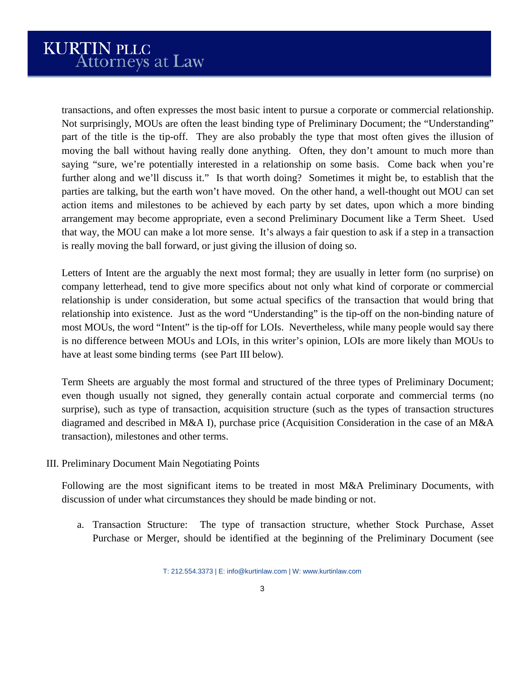transactions, and often expresses the most basic intent to pursue a corporate or commercial relationship. Not surprisingly, MOUs are often the least binding type of Preliminary Document; the "Understanding" part of the title is the tip-off. They are also probably the type that most often gives the illusion of moving the ball without having really done anything. Often, they don't amount to much more than saying "sure, we're potentially interested in a relationship on some basis. Come back when you're further along and we'll discuss it." Is that worth doing? Sometimes it might be, to establish that the parties are talking, but the earth won't have moved. On the other hand, a well-thought out MOU can set action items and milestones to be achieved by each party by set dates, upon which a more binding arrangement may become appropriate, even a second Preliminary Document like a Term Sheet. Used that way, the MOU can make a lot more sense. It's always a fair question to ask if a step in a transaction is really moving the ball forward, or just giving the illusion of doing so.

Letters of Intent are the arguably the next most formal; they are usually in letter form (no surprise) on company letterhead, tend to give more specifics about not only what kind of corporate or commercial relationship is under consideration, but some actual specifics of the transaction that would bring that relationship into existence. Just as the word "Understanding" is the tip-off on the non-binding nature of most MOUs, the word "Intent" is the tip-off for LOIs. Nevertheless, while many people would say there is no difference between MOUs and LOIs, in this writer's opinion, LOIs are more likely than MOUs to have at least some binding terms (see Part III below).

Term Sheets are arguably the most formal and structured of the three types of Preliminary Document; even though usually not signed, they generally contain actual corporate and commercial terms (no surprise), such as type of transaction, acquisition structure (such as the types of transaction structures diagramed and described in M&A I), purchase price (Acquisition Consideration in the case of an M&A transaction), milestones and other terms.

III. Preliminary Document Main Negotiating Points

Following are the most significant items to be treated in most M&A Preliminary Documents, with discussion of under what circumstances they should be made binding or not.

a. Transaction Structure: The type of transaction structure, whether Stock Purchase, Asset Purchase or Merger, should be identified at the beginning of the Preliminary Document (see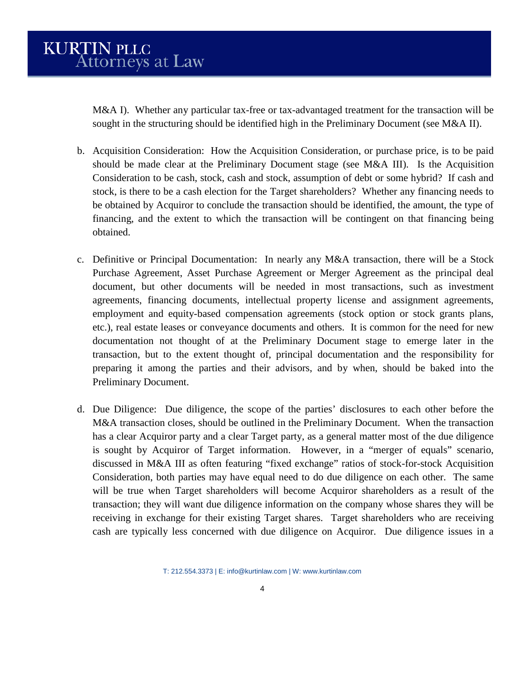M&A I). Whether any particular tax-free or tax-advantaged treatment for the transaction will be sought in the structuring should be identified high in the Preliminary Document (see M&A II).

- b. Acquisition Consideration: How the Acquisition Consideration, or purchase price, is to be paid should be made clear at the Preliminary Document stage (see M&A III). Is the Acquisition Consideration to be cash, stock, cash and stock, assumption of debt or some hybrid? If cash and stock, is there to be a cash election for the Target shareholders? Whether any financing needs to be obtained by Acquiror to conclude the transaction should be identified, the amount, the type of financing, and the extent to which the transaction will be contingent on that financing being obtained.
- c. Definitive or Principal Documentation: In nearly any M&A transaction, there will be a Stock Purchase Agreement, Asset Purchase Agreement or Merger Agreement as the principal deal document, but other documents will be needed in most transactions, such as investment agreements, financing documents, intellectual property license and assignment agreements, employment and equity-based compensation agreements (stock option or stock grants plans, etc.), real estate leases or conveyance documents and others. It is common for the need for new documentation not thought of at the Preliminary Document stage to emerge later in the transaction, but to the extent thought of, principal documentation and the responsibility for preparing it among the parties and their advisors, and by when, should be baked into the Preliminary Document.
- d. Due Diligence: Due diligence, the scope of the parties' disclosures to each other before the M&A transaction closes, should be outlined in the Preliminary Document. When the transaction has a clear Acquiror party and a clear Target party, as a general matter most of the due diligence is sought by Acquiror of Target information. However, in a "merger of equals" scenario, discussed in M&A III as often featuring "fixed exchange" ratios of stock-for-stock Acquisition Consideration, both parties may have equal need to do due diligence on each other. The same will be true when Target shareholders will become Acquiror shareholders as a result of the transaction; they will want due diligence information on the company whose shares they will be receiving in exchange for their existing Target shares. Target shareholders who are receiving cash are typically less concerned with due diligence on Acquiror. Due diligence issues in a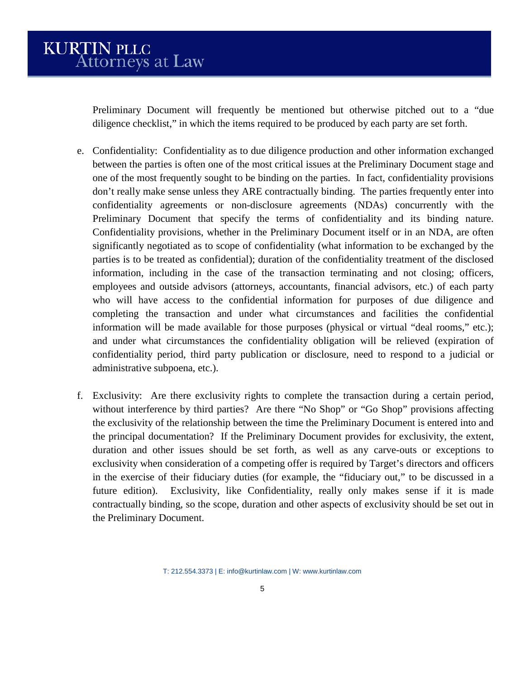Preliminary Document will frequently be mentioned but otherwise pitched out to a "due diligence checklist," in which the items required to be produced by each party are set forth.

- e. Confidentiality: Confidentiality as to due diligence production and other information exchanged between the parties is often one of the most critical issues at the Preliminary Document stage and one of the most frequently sought to be binding on the parties. In fact, confidentiality provisions don't really make sense unless they ARE contractually binding. The parties frequently enter into confidentiality agreements or non-disclosure agreements (NDAs) concurrently with the Preliminary Document that specify the terms of confidentiality and its binding nature. Confidentiality provisions, whether in the Preliminary Document itself or in an NDA, are often significantly negotiated as to scope of confidentiality (what information to be exchanged by the parties is to be treated as confidential); duration of the confidentiality treatment of the disclosed information, including in the case of the transaction terminating and not closing; officers, employees and outside advisors (attorneys, accountants, financial advisors, etc.) of each party who will have access to the confidential information for purposes of due diligence and completing the transaction and under what circumstances and facilities the confidential information will be made available for those purposes (physical or virtual "deal rooms," etc.); and under what circumstances the confidentiality obligation will be relieved (expiration of confidentiality period, third party publication or disclosure, need to respond to a judicial or administrative subpoena, etc.).
- f. Exclusivity: Are there exclusivity rights to complete the transaction during a certain period, without interference by third parties? Are there "No Shop" or "Go Shop" provisions affecting the exclusivity of the relationship between the time the Preliminary Document is entered into and the principal documentation? If the Preliminary Document provides for exclusivity, the extent, duration and other issues should be set forth, as well as any carve-outs or exceptions to exclusivity when consideration of a competing offer is required by Target's directors and officers in the exercise of their fiduciary duties (for example, the "fiduciary out," to be discussed in a future edition). Exclusivity, like Confidentiality, really only makes sense if it is made contractually binding, so the scope, duration and other aspects of exclusivity should be set out in the Preliminary Document.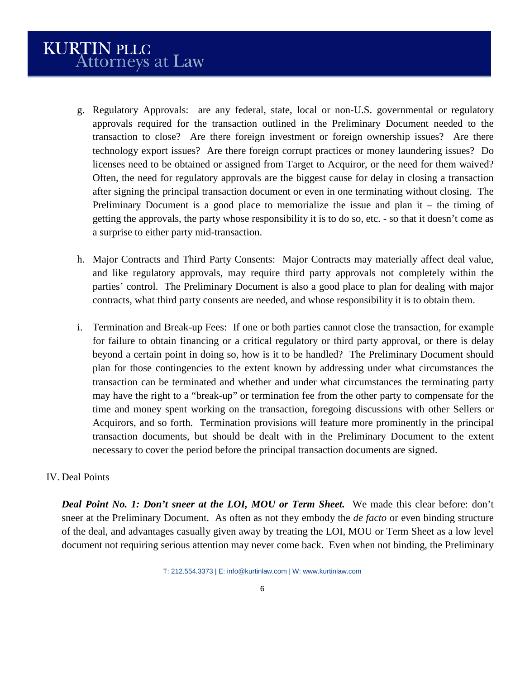- g. Regulatory Approvals: are any federal, state, local or non-U.S. governmental or regulatory approvals required for the transaction outlined in the Preliminary Document needed to the transaction to close? Are there foreign investment or foreign ownership issues? Are there technology export issues? Are there foreign corrupt practices or money laundering issues? Do licenses need to be obtained or assigned from Target to Acquiror, or the need for them waived? Often, the need for regulatory approvals are the biggest cause for delay in closing a transaction after signing the principal transaction document or even in one terminating without closing. The Preliminary Document is a good place to memorialize the issue and plan it – the timing of getting the approvals, the party whose responsibility it is to do so, etc. - so that it doesn't come as a surprise to either party mid-transaction.
- h. Major Contracts and Third Party Consents: Major Contracts may materially affect deal value, and like regulatory approvals, may require third party approvals not completely within the parties' control. The Preliminary Document is also a good place to plan for dealing with major contracts, what third party consents are needed, and whose responsibility it is to obtain them.
- i. Termination and Break-up Fees: If one or both parties cannot close the transaction, for example for failure to obtain financing or a critical regulatory or third party approval, or there is delay beyond a certain point in doing so, how is it to be handled? The Preliminary Document should plan for those contingencies to the extent known by addressing under what circumstances the transaction can be terminated and whether and under what circumstances the terminating party may have the right to a "break-up" or termination fee from the other party to compensate for the time and money spent working on the transaction, foregoing discussions with other Sellers or Acquirors, and so forth. Termination provisions will feature more prominently in the principal transaction documents, but should be dealt with in the Preliminary Document to the extent necessary to cover the period before the principal transaction documents are signed.

## IV. Deal Points

*Deal Point No. 1: Don't sneer at the LOI, MOU or Term Sheet.* We made this clear before: don't sneer at the Preliminary Document. As often as not they embody the *de facto* or even binding structure of the deal, and advantages casually given away by treating the LOI, MOU or Term Sheet as a low level document not requiring serious attention may never come back. Even when not binding, the Preliminary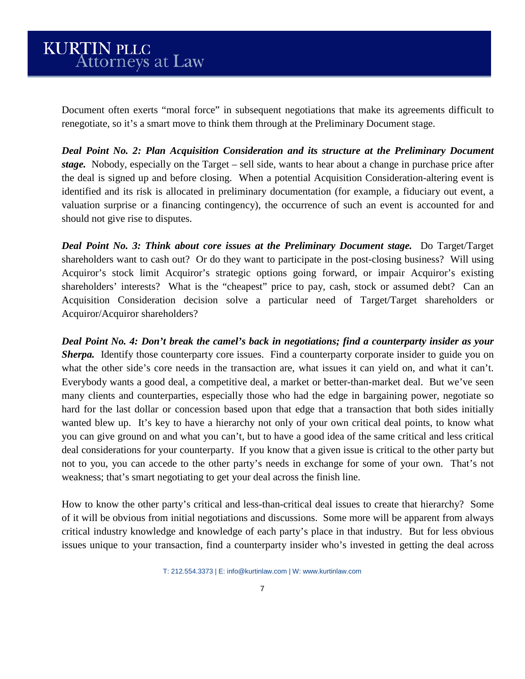Document often exerts "moral force" in subsequent negotiations that make its agreements difficult to renegotiate, so it's a smart move to think them through at the Preliminary Document stage.

*Deal Point No. 2: Plan Acquisition Consideration and its structure at the Preliminary Document stage.* Nobody, especially on the Target – sell side, wants to hear about a change in purchase price after the deal is signed up and before closing. When a potential Acquisition Consideration-altering event is identified and its risk is allocated in preliminary documentation (for example, a fiduciary out event, a valuation surprise or a financing contingency), the occurrence of such an event is accounted for and should not give rise to disputes.

*Deal Point No. 3: Think about core issues at the Preliminary Document stage.* Do Target/Target shareholders want to cash out? Or do they want to participate in the post-closing business? Will using Acquiror's stock limit Acquiror's strategic options going forward, or impair Acquiror's existing shareholders' interests? What is the "cheapest" price to pay, cash, stock or assumed debt? Can an Acquisition Consideration decision solve a particular need of Target/Target shareholders or Acquiror/Acquiror shareholders?

*Deal Point No. 4: Don't break the camel's back in negotiations; find a counterparty insider as your Sherpa.* Identify those counterparty core issues. Find a counterparty corporate insider to guide you on what the other side's core needs in the transaction are, what issues it can yield on, and what it can't. Everybody wants a good deal, a competitive deal, a market or better-than-market deal. But we've seen many clients and counterparties, especially those who had the edge in bargaining power, negotiate so hard for the last dollar or concession based upon that edge that a transaction that both sides initially wanted blew up. It's key to have a hierarchy not only of your own critical deal points, to know what you can give ground on and what you can't, but to have a good idea of the same critical and less critical deal considerations for your counterparty. If you know that a given issue is critical to the other party but not to you, you can accede to the other party's needs in exchange for some of your own. That's not weakness; that's smart negotiating to get your deal across the finish line.

How to know the other party's critical and less-than-critical deal issues to create that hierarchy? Some of it will be obvious from initial negotiations and discussions. Some more will be apparent from always critical industry knowledge and knowledge of each party's place in that industry. But for less obvious issues unique to your transaction, find a counterparty insider who's invested in getting the deal across